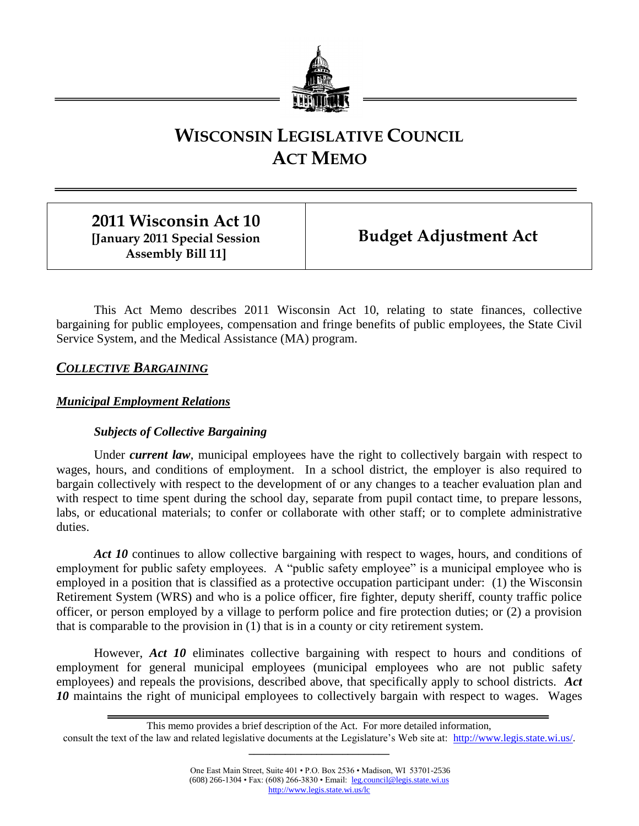

# **WISCONSIN LEGISLATIVE COUNCIL ACT MEMO**

**2011 Wisconsin Act 10 [January 2011 Special Session Assembly Bill 11]**

**Budget Adjustment Act**

This Act Memo describes 2011 Wisconsin Act 10, relating to state finances, collective bargaining for public employees, compensation and fringe benefits of public employees, the State Civil Service System, and the Medical Assistance (MA) program.

*COLLECTIVE BARGAINING*

# *Municipal Employment Relations*

# *Subjects of Collective Bargaining*

Under *current law*, municipal employees have the right to collectively bargain with respect to wages, hours, and conditions of employment. In a school district, the employer is also required to bargain collectively with respect to the development of or any changes to a teacher evaluation plan and with respect to time spent during the school day, separate from pupil contact time, to prepare lessons, labs, or educational materials; to confer or collaborate with other staff; or to complete administrative duties.

Act 10 continues to allow collective bargaining with respect to wages, hours, and conditions of employment for public safety employees. A "public safety employee" is a municipal employee who is employed in a position that is classified as a protective occupation participant under: (1) the Wisconsin Retirement System (WRS) and who is a police officer, fire fighter, deputy sheriff, county traffic police officer, or person employed by a village to perform police and fire protection duties; or (2) a provision that is comparable to the provision in (1) that is in a county or city retirement system.

However, *Act 10* eliminates collective bargaining with respect to hours and conditions of employment for general municipal employees (municipal employees who are not public safety employees) and repeals the provisions, described above, that specifically apply to school districts. *Act 10* maintains the right of municipal employees to collectively bargain with respect to wages. Wages

This memo provides a brief description of the Act. For more detailed information,

consult the text of the law and related legislative documents at the Legislature's Web site at: [http://www.legis.state.wi.us/.](http://www.legis.state.wi.us/) **\_\_\_\_\_\_\_\_\_\_\_\_\_\_\_\_\_\_\_\_\_\_\_\_\_\_\_**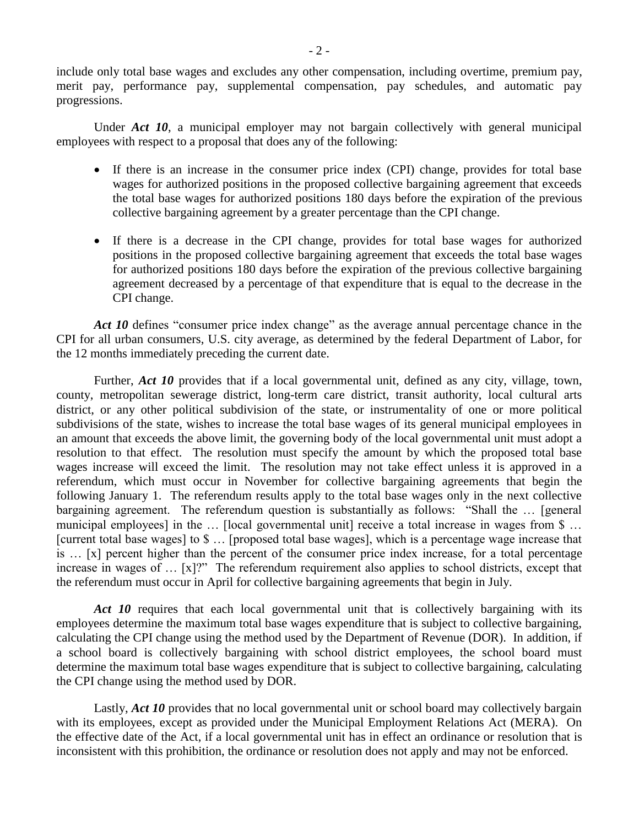include only total base wages and excludes any other compensation, including overtime, premium pay, merit pay, performance pay, supplemental compensation, pay schedules, and automatic pay progressions.

Under *Act 10*, a municipal employer may not bargain collectively with general municipal employees with respect to a proposal that does any of the following:

- If there is an increase in the consumer price index (CPI) change, provides for total base wages for authorized positions in the proposed collective bargaining agreement that exceeds the total base wages for authorized positions 180 days before the expiration of the previous collective bargaining agreement by a greater percentage than the CPI change.
- If there is a decrease in the CPI change, provides for total base wages for authorized positions in the proposed collective bargaining agreement that exceeds the total base wages for authorized positions 180 days before the expiration of the previous collective bargaining agreement decreased by a percentage of that expenditure that is equal to the decrease in the CPI change.

Act 10 defines "consumer price index change" as the average annual percentage chance in the CPI for all urban consumers, U.S. city average, as determined by the federal Department of Labor, for the 12 months immediately preceding the current date.

Further, *Act 10* provides that if a local governmental unit, defined as any city, village, town, county, metropolitan sewerage district, long-term care district, transit authority, local cultural arts district, or any other political subdivision of the state, or instrumentality of one or more political subdivisions of the state, wishes to increase the total base wages of its general municipal employees in an amount that exceeds the above limit, the governing body of the local governmental unit must adopt a resolution to that effect. The resolution must specify the amount by which the proposed total base wages increase will exceed the limit. The resolution may not take effect unless it is approved in a referendum, which must occur in November for collective bargaining agreements that begin the following January 1. The referendum results apply to the total base wages only in the next collective bargaining agreement. The referendum question is substantially as follows: "Shall the … [general municipal employees] in the ... [local governmental unit] receive a total increase in wages from \$ ... [current total base wages] to \$ … [proposed total base wages], which is a percentage wage increase that is … [x] percent higher than the percent of the consumer price index increase, for a total percentage increase in wages of … [x]?" The referendum requirement also applies to school districts, except that the referendum must occur in April for collective bargaining agreements that begin in July.

Act 10 requires that each local governmental unit that is collectively bargaining with its employees determine the maximum total base wages expenditure that is subject to collective bargaining, calculating the CPI change using the method used by the Department of Revenue (DOR). In addition, if a school board is collectively bargaining with school district employees, the school board must determine the maximum total base wages expenditure that is subject to collective bargaining, calculating the CPI change using the method used by DOR.

Lastly, *Act 10* provides that no local governmental unit or school board may collectively bargain with its employees, except as provided under the Municipal Employment Relations Act (MERA). On the effective date of the Act, if a local governmental unit has in effect an ordinance or resolution that is inconsistent with this prohibition, the ordinance or resolution does not apply and may not be enforced.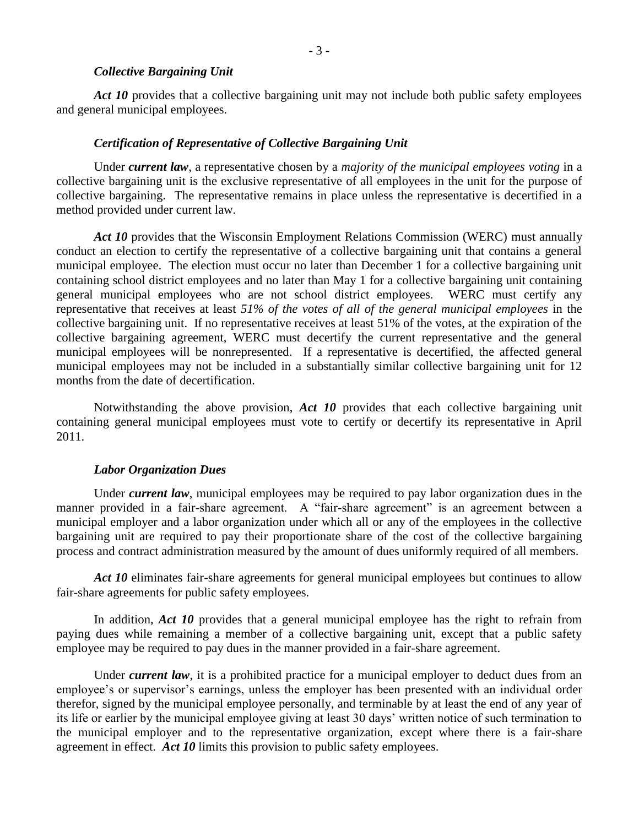- 3 -

#### *Collective Bargaining Unit*

Act 10 provides that a collective bargaining unit may not include both public safety employees and general municipal employees.

#### *Certification of Representative of Collective Bargaining Unit*

Under *current law*, a representative chosen by a *majority of the municipal employees voting* in a collective bargaining unit is the exclusive representative of all employees in the unit for the purpose of collective bargaining. The representative remains in place unless the representative is decertified in a method provided under current law.

*Act 10* provides that the Wisconsin Employment Relations Commission (WERC) must annually conduct an election to certify the representative of a collective bargaining unit that contains a general municipal employee. The election must occur no later than December 1 for a collective bargaining unit containing school district employees and no later than May 1 for a collective bargaining unit containing general municipal employees who are not school district employees. WERC must certify any representative that receives at least *51% of the votes of all of the general municipal employees* in the collective bargaining unit. If no representative receives at least 51% of the votes, at the expiration of the collective bargaining agreement, WERC must decertify the current representative and the general municipal employees will be nonrepresented. If a representative is decertified, the affected general municipal employees may not be included in a substantially similar collective bargaining unit for 12 months from the date of decertification.

Notwithstanding the above provision, *Act 10* provides that each collective bargaining unit containing general municipal employees must vote to certify or decertify its representative in April 2011.

#### *Labor Organization Dues*

Under *current law*, municipal employees may be required to pay labor organization dues in the manner provided in a fair-share agreement. A "fair-share agreement" is an agreement between a municipal employer and a labor organization under which all or any of the employees in the collective bargaining unit are required to pay their proportionate share of the cost of the collective bargaining process and contract administration measured by the amount of dues uniformly required of all members.

Act 10 eliminates fair-share agreements for general municipal employees but continues to allow fair-share agreements for public safety employees.

In addition, *Act 10* provides that a general municipal employee has the right to refrain from paying dues while remaining a member of a collective bargaining unit, except that a public safety employee may be required to pay dues in the manner provided in a fair-share agreement.

Under *current law*, it is a prohibited practice for a municipal employer to deduct dues from an employee's or supervisor's earnings, unless the employer has been presented with an individual order therefor, signed by the municipal employee personally, and terminable by at least the end of any year of its life or earlier by the municipal employee giving at least 30 days' written notice of such termination to the municipal employer and to the representative organization, except where there is a fair-share agreement in effect. *Act 10* limits this provision to public safety employees.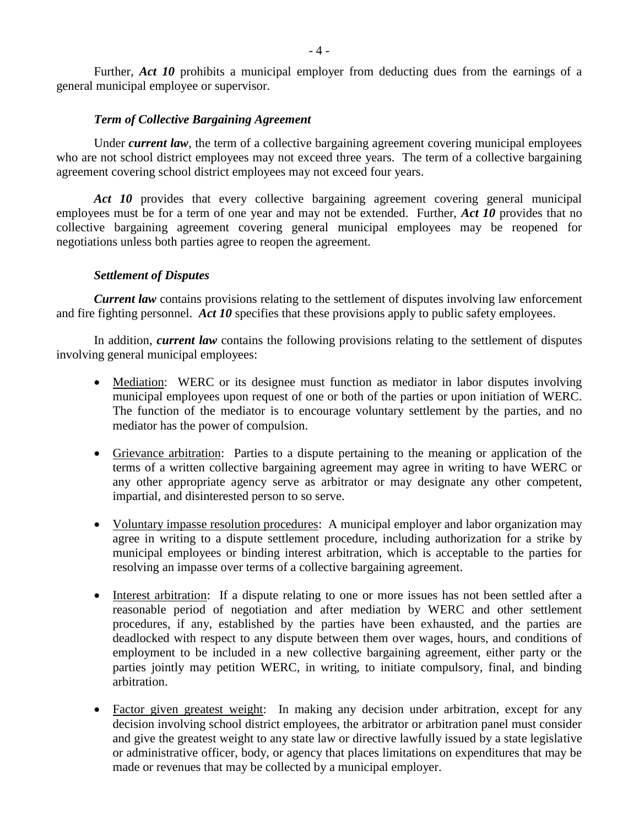Further, *Act 10* prohibits a municipal employer from deducting dues from the earnings of a general municipal employee or supervisor.

## *Term of Collective Bargaining Agreement*

Under *current law*, the term of a collective bargaining agreement covering municipal employees who are not school district employees may not exceed three years. The term of a collective bargaining agreement covering school district employees may not exceed four years.

Act 10 provides that every collective bargaining agreement covering general municipal employees must be for a term of one year and may not be extended. Further, *Act 10* provides that no collective bargaining agreement covering general municipal employees may be reopened for negotiations unless both parties agree to reopen the agreement.

#### *Settlement of Disputes*

*Current law* contains provisions relating to the settlement of disputes involving law enforcement and fire fighting personnel. *Act 10* specifies that these provisions apply to public safety employees.

In addition, *current law* contains the following provisions relating to the settlement of disputes involving general municipal employees:

- Mediation: WERC or its designee must function as mediator in labor disputes involving municipal employees upon request of one or both of the parties or upon initiation of WERC. The function of the mediator is to encourage voluntary settlement by the parties, and no mediator has the power of compulsion.
- Grievance arbitration: Parties to a dispute pertaining to the meaning or application of the terms of a written collective bargaining agreement may agree in writing to have WERC or any other appropriate agency serve as arbitrator or may designate any other competent, impartial, and disinterested person to so serve.
- Voluntary impasse resolution procedures: A municipal employer and labor organization may agree in writing to a dispute settlement procedure, including authorization for a strike by municipal employees or binding interest arbitration, which is acceptable to the parties for resolving an impasse over terms of a collective bargaining agreement.
- Interest arbitration: If a dispute relating to one or more issues has not been settled after a reasonable period of negotiation and after mediation by WERC and other settlement procedures, if any, established by the parties have been exhausted, and the parties are deadlocked with respect to any dispute between them over wages, hours, and conditions of employment to be included in a new collective bargaining agreement, either party or the parties jointly may petition WERC, in writing, to initiate compulsory, final, and binding arbitration.
- Factor given greatest weight: In making any decision under arbitration, except for any decision involving school district employees, the arbitrator or arbitration panel must consider and give the greatest weight to any state law or directive lawfully issued by a state legislative or administrative officer, body, or agency that places limitations on expenditures that may be made or revenues that may be collected by a municipal employer.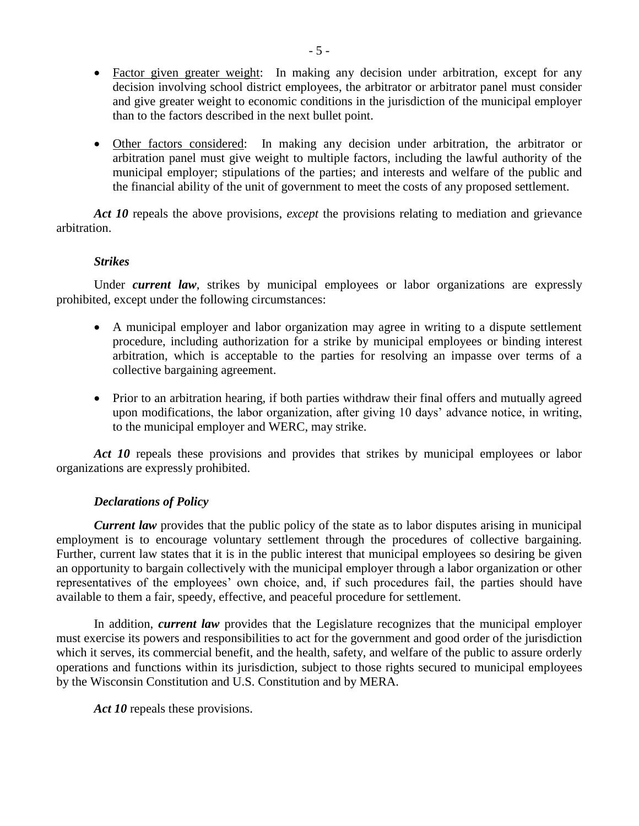- Factor given greater weight: In making any decision under arbitration, except for any decision involving school district employees, the arbitrator or arbitrator panel must consider and give greater weight to economic conditions in the jurisdiction of the municipal employer than to the factors described in the next bullet point.
- Other factors considered: In making any decision under arbitration, the arbitrator or arbitration panel must give weight to multiple factors, including the lawful authority of the municipal employer; stipulations of the parties; and interests and welfare of the public and the financial ability of the unit of government to meet the costs of any proposed settlement.

*Act 10* repeals the above provisions, *except* the provisions relating to mediation and grievance arbitration.

#### *Strikes*

Under *current law*, strikes by municipal employees or labor organizations are expressly prohibited, except under the following circumstances:

- A municipal employer and labor organization may agree in writing to a dispute settlement procedure, including authorization for a strike by municipal employees or binding interest arbitration, which is acceptable to the parties for resolving an impasse over terms of a collective bargaining agreement.
- Prior to an arbitration hearing, if both parties withdraw their final offers and mutually agreed upon modifications, the labor organization, after giving 10 days' advance notice, in writing, to the municipal employer and WERC, may strike.

Act 10 repeals these provisions and provides that strikes by municipal employees or labor organizations are expressly prohibited.

# *Declarations of Policy*

*Current law* provides that the public policy of the state as to labor disputes arising in municipal employment is to encourage voluntary settlement through the procedures of collective bargaining. Further, current law states that it is in the public interest that municipal employees so desiring be given an opportunity to bargain collectively with the municipal employer through a labor organization or other representatives of the employees' own choice, and, if such procedures fail, the parties should have available to them a fair, speedy, effective, and peaceful procedure for settlement.

In addition, *current law* provides that the Legislature recognizes that the municipal employer must exercise its powers and responsibilities to act for the government and good order of the jurisdiction which it serves, its commercial benefit, and the health, safety, and welfare of the public to assure orderly operations and functions within its jurisdiction, subject to those rights secured to municipal employees by the Wisconsin Constitution and U.S. Constitution and by MERA.

Act 10 repeals these provisions.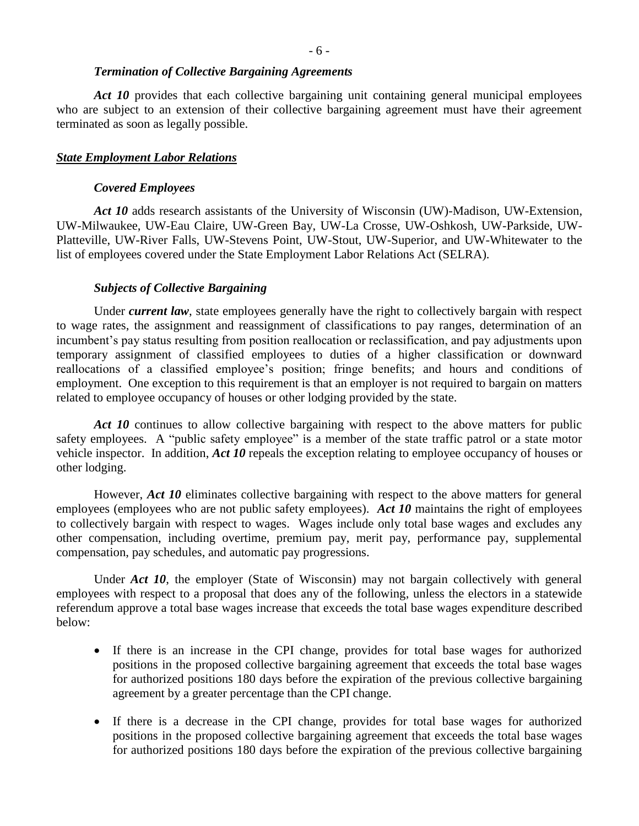#### *Termination of Collective Bargaining Agreements*

Act 10 provides that each collective bargaining unit containing general municipal employees who are subject to an extension of their collective bargaining agreement must have their agreement terminated as soon as legally possible.

## *State Employment Labor Relations*

#### *Covered Employees*

Act 10 adds research assistants of the University of Wisconsin (UW)-Madison, UW-Extension, UW-Milwaukee, UW-Eau Claire, UW-Green Bay, UW-La Crosse, UW-Oshkosh, UW-Parkside, UW-Platteville, UW-River Falls, UW-Stevens Point, UW-Stout, UW-Superior, and UW-Whitewater to the list of employees covered under the State Employment Labor Relations Act (SELRA).

#### *Subjects of Collective Bargaining*

Under *current law*, state employees generally have the right to collectively bargain with respect to wage rates, the assignment and reassignment of classifications to pay ranges, determination of an incumbent's pay status resulting from position reallocation or reclassification, and pay adjustments upon temporary assignment of classified employees to duties of a higher classification or downward reallocations of a classified employee's position; fringe benefits; and hours and conditions of employment. One exception to this requirement is that an employer is not required to bargain on matters related to employee occupancy of houses or other lodging provided by the state.

Act 10 continues to allow collective bargaining with respect to the above matters for public safety employees. A "public safety employee" is a member of the state traffic patrol or a state motor vehicle inspector. In addition, *Act 10* repeals the exception relating to employee occupancy of houses or other lodging.

However, *Act 10* eliminates collective bargaining with respect to the above matters for general employees (employees who are not public safety employees). Act 10 maintains the right of employees to collectively bargain with respect to wages. Wages include only total base wages and excludes any other compensation, including overtime, premium pay, merit pay, performance pay, supplemental compensation, pay schedules, and automatic pay progressions.

Under *Act 10*, the employer (State of Wisconsin) may not bargain collectively with general employees with respect to a proposal that does any of the following, unless the electors in a statewide referendum approve a total base wages increase that exceeds the total base wages expenditure described below:

- If there is an increase in the CPI change, provides for total base wages for authorized positions in the proposed collective bargaining agreement that exceeds the total base wages for authorized positions 180 days before the expiration of the previous collective bargaining agreement by a greater percentage than the CPI change.
- If there is a decrease in the CPI change, provides for total base wages for authorized positions in the proposed collective bargaining agreement that exceeds the total base wages for authorized positions 180 days before the expiration of the previous collective bargaining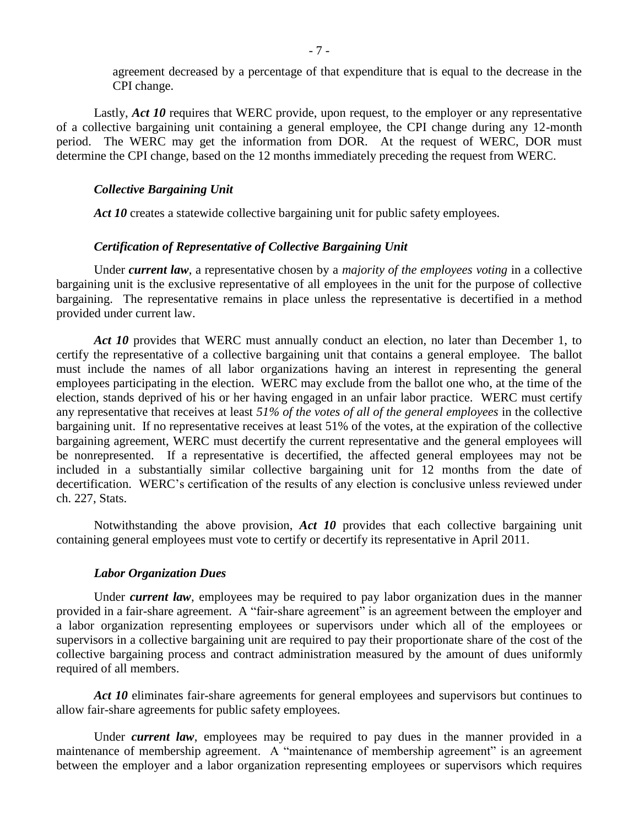agreement decreased by a percentage of that expenditure that is equal to the decrease in the CPI change.

Lastly, *Act 10* requires that WERC provide, upon request, to the employer or any representative of a collective bargaining unit containing a general employee, the CPI change during any 12-month period. The WERC may get the information from DOR. At the request of WERC, DOR must determine the CPI change, based on the 12 months immediately preceding the request from WERC.

#### *Collective Bargaining Unit*

Act 10 creates a statewide collective bargaining unit for public safety employees.

#### *Certification of Representative of Collective Bargaining Unit*

Under *current law*, a representative chosen by a *majority of the employees voting* in a collective bargaining unit is the exclusive representative of all employees in the unit for the purpose of collective bargaining. The representative remains in place unless the representative is decertified in a method provided under current law.

Act 10 provides that WERC must annually conduct an election, no later than December 1, to certify the representative of a collective bargaining unit that contains a general employee. The ballot must include the names of all labor organizations having an interest in representing the general employees participating in the election. WERC may exclude from the ballot one who, at the time of the election, stands deprived of his or her having engaged in an unfair labor practice. WERC must certify any representative that receives at least *51% of the votes of all of the general employees* in the collective bargaining unit. If no representative receives at least 51% of the votes, at the expiration of the collective bargaining agreement, WERC must decertify the current representative and the general employees will be nonrepresented. If a representative is decertified, the affected general employees may not be included in a substantially similar collective bargaining unit for 12 months from the date of decertification. WERC's certification of the results of any election is conclusive unless reviewed under ch. 227, Stats.

Notwithstanding the above provision, *Act 10* provides that each collective bargaining unit containing general employees must vote to certify or decertify its representative in April 2011.

#### *Labor Organization Dues*

Under *current law*, employees may be required to pay labor organization dues in the manner provided in a fair-share agreement. A "fair-share agreement" is an agreement between the employer and a labor organization representing employees or supervisors under which all of the employees or supervisors in a collective bargaining unit are required to pay their proportionate share of the cost of the collective bargaining process and contract administration measured by the amount of dues uniformly required of all members.

Act 10 eliminates fair-share agreements for general employees and supervisors but continues to allow fair-share agreements for public safety employees.

Under *current law*, employees may be required to pay dues in the manner provided in a maintenance of membership agreement. A "maintenance of membership agreement" is an agreement between the employer and a labor organization representing employees or supervisors which requires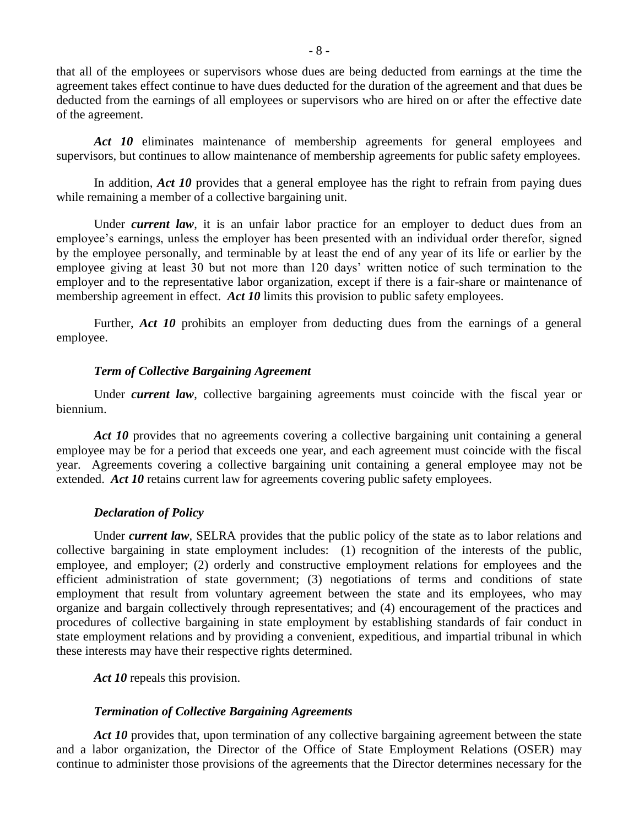that all of the employees or supervisors whose dues are being deducted from earnings at the time the agreement takes effect continue to have dues deducted for the duration of the agreement and that dues be deducted from the earnings of all employees or supervisors who are hired on or after the effective date of the agreement.

Act 10 eliminates maintenance of membership agreements for general employees and supervisors, but continues to allow maintenance of membership agreements for public safety employees.

In addition, *Act 10* provides that a general employee has the right to refrain from paying dues while remaining a member of a collective bargaining unit.

Under *current law*, it is an unfair labor practice for an employer to deduct dues from an employee's earnings, unless the employer has been presented with an individual order therefor, signed by the employee personally, and terminable by at least the end of any year of its life or earlier by the employee giving at least 30 but not more than 120 days' written notice of such termination to the employer and to the representative labor organization, except if there is a fair-share or maintenance of membership agreement in effect. *Act 10* limits this provision to public safety employees.

Further, *Act 10* prohibits an employer from deducting dues from the earnings of a general employee.

#### *Term of Collective Bargaining Agreement*

Under *current law*, collective bargaining agreements must coincide with the fiscal year or biennium.

Act 10 provides that no agreements covering a collective bargaining unit containing a general employee may be for a period that exceeds one year, and each agreement must coincide with the fiscal year. Agreements covering a collective bargaining unit containing a general employee may not be extended. *Act 10* retains current law for agreements covering public safety employees.

#### *Declaration of Policy*

Under *current law*, SELRA provides that the public policy of the state as to labor relations and collective bargaining in state employment includes: (1) recognition of the interests of the public, employee, and employer; (2) orderly and constructive employment relations for employees and the efficient administration of state government; (3) negotiations of terms and conditions of state employment that result from voluntary agreement between the state and its employees, who may organize and bargain collectively through representatives; and (4) encouragement of the practices and procedures of collective bargaining in state employment by establishing standards of fair conduct in state employment relations and by providing a convenient, expeditious, and impartial tribunal in which these interests may have their respective rights determined.

*Act 10* repeals this provision.

# *Termination of Collective Bargaining Agreements*

Act 10 provides that, upon termination of any collective bargaining agreement between the state and a labor organization, the Director of the Office of State Employment Relations (OSER) may continue to administer those provisions of the agreements that the Director determines necessary for the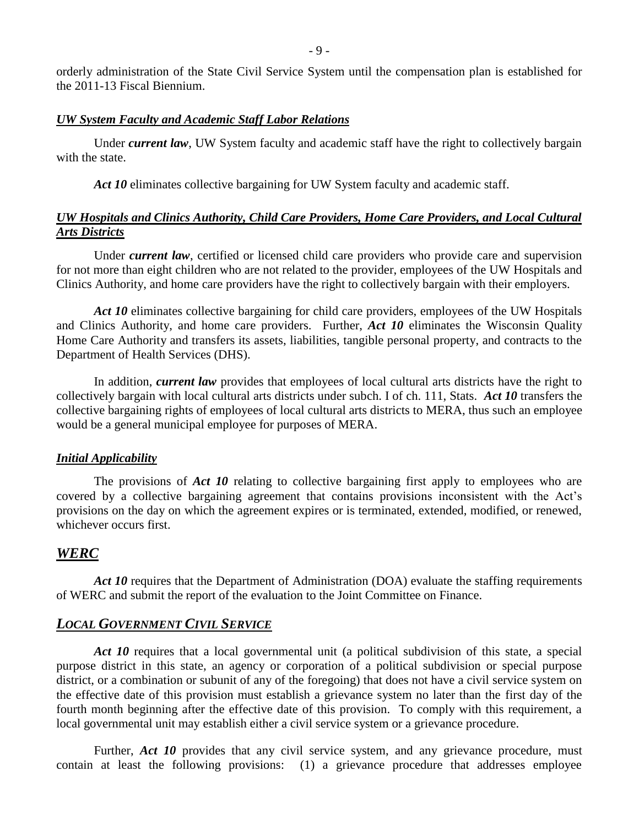orderly administration of the State Civil Service System until the compensation plan is established for the 2011-13 Fiscal Biennium.

#### *UW System Faculty and Academic Staff Labor Relations*

Under *current law*, UW System faculty and academic staff have the right to collectively bargain with the state.

*Act 10* eliminates collective bargaining for UW System faculty and academic staff.

# *UW Hospitals and Clinics Authority, Child Care Providers, Home Care Providers, and Local Cultural Arts Districts*

Under *current law*, certified or licensed child care providers who provide care and supervision for not more than eight children who are not related to the provider, employees of the UW Hospitals and Clinics Authority, and home care providers have the right to collectively bargain with their employers.

Act 10 eliminates collective bargaining for child care providers, employees of the UW Hospitals and Clinics Authority, and home care providers. Further, *Act 10* eliminates the Wisconsin Quality Home Care Authority and transfers its assets, liabilities, tangible personal property, and contracts to the Department of Health Services (DHS).

In addition, *current law* provides that employees of local cultural arts districts have the right to collectively bargain with local cultural arts districts under subch. I of ch. 111, Stats. *Act 10* transfers the collective bargaining rights of employees of local cultural arts districts to MERA, thus such an employee would be a general municipal employee for purposes of MERA.

#### *Initial Applicability*

The provisions of *Act 10* relating to collective bargaining first apply to employees who are covered by a collective bargaining agreement that contains provisions inconsistent with the Act's provisions on the day on which the agreement expires or is terminated, extended, modified, or renewed, whichever occurs first.

# *WERC*

Act 10 requires that the Department of Administration (DOA) evaluate the staffing requirements of WERC and submit the report of the evaluation to the Joint Committee on Finance.

# *LOCAL GOVERNMENT CIVIL SERVICE*

Act 10 requires that a local governmental unit (a political subdivision of this state, a special purpose district in this state, an agency or corporation of a political subdivision or special purpose district, or a combination or subunit of any of the foregoing) that does not have a civil service system on the effective date of this provision must establish a grievance system no later than the first day of the fourth month beginning after the effective date of this provision. To comply with this requirement, a local governmental unit may establish either a civil service system or a grievance procedure.

Further, *Act* 10 provides that any civil service system, and any grievance procedure, must contain at least the following provisions: (1) a grievance procedure that addresses employee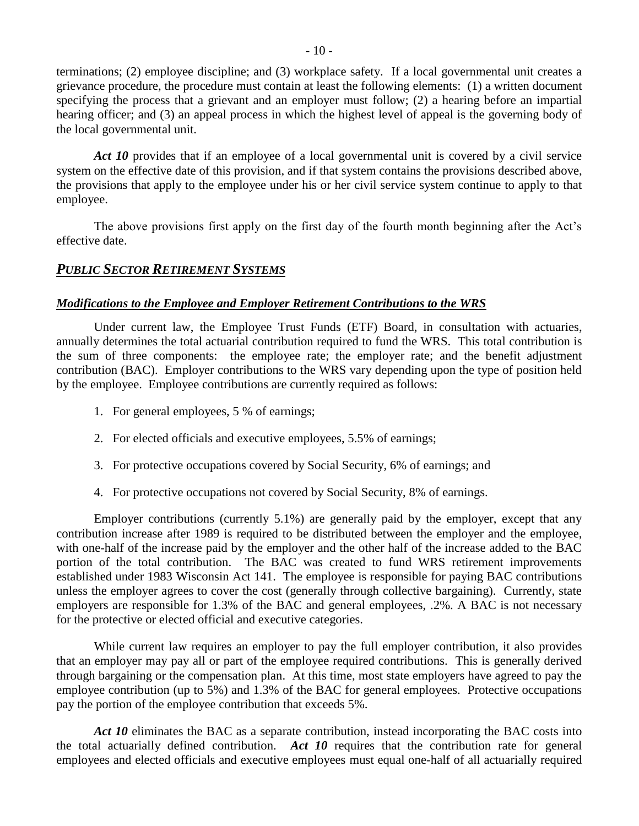terminations; (2) employee discipline; and (3) workplace safety. If a local governmental unit creates a grievance procedure, the procedure must contain at least the following elements: (1) a written document specifying the process that a grievant and an employer must follow; (2) a hearing before an impartial hearing officer; and (3) an appeal process in which the highest level of appeal is the governing body of the local governmental unit.

Act 10 provides that if an employee of a local governmental unit is covered by a civil service system on the effective date of this provision, and if that system contains the provisions described above, the provisions that apply to the employee under his or her civil service system continue to apply to that employee.

The above provisions first apply on the first day of the fourth month beginning after the Act's effective date.

# *PUBLIC SECTOR RETIREMENT SYSTEMS*

# *Modifications to the Employee and Employer Retirement Contributions to the WRS*

Under current law, the Employee Trust Funds (ETF) Board, in consultation with actuaries, annually determines the total actuarial contribution required to fund the WRS. This total contribution is the sum of three components: the employee rate; the employer rate; and the benefit adjustment contribution (BAC). Employer contributions to the WRS vary depending upon the type of position held by the employee. Employee contributions are currently required as follows:

- 1. For general employees, 5 % of earnings;
- 2. For elected officials and executive employees, 5.5% of earnings;
- 3. For protective occupations covered by Social Security, 6% of earnings; and
- 4. For protective occupations not covered by Social Security, 8% of earnings.

Employer contributions (currently 5.1%) are generally paid by the employer, except that any contribution increase after 1989 is required to be distributed between the employer and the employee, with one-half of the increase paid by the employer and the other half of the increase added to the BAC portion of the total contribution. The BAC was created to fund WRS retirement improvements established under 1983 Wisconsin Act 141. The employee is responsible for paying BAC contributions unless the employer agrees to cover the cost (generally through collective bargaining). Currently, state employers are responsible for 1.3% of the BAC and general employees, .2%. A BAC is not necessary for the protective or elected official and executive categories.

While current law requires an employer to pay the full employer contribution, it also provides that an employer may pay all or part of the employee required contributions. This is generally derived through bargaining or the compensation plan. At this time, most state employers have agreed to pay the employee contribution (up to 5%) and 1.3% of the BAC for general employees. Protective occupations pay the portion of the employee contribution that exceeds 5%.

Act 10 eliminates the BAC as a separate contribution, instead incorporating the BAC costs into the total actuarially defined contribution. *Act 10* requires that the contribution rate for general employees and elected officials and executive employees must equal one-half of all actuarially required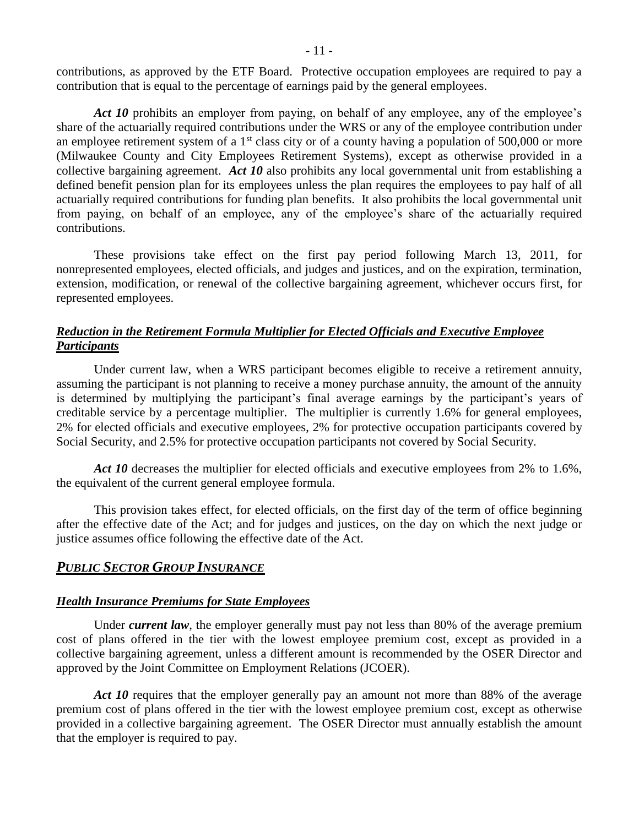contributions, as approved by the ETF Board. Protective occupation employees are required to pay a contribution that is equal to the percentage of earnings paid by the general employees.

Act 10 prohibits an employer from paying, on behalf of any employee, any of the employee's share of the actuarially required contributions under the WRS or any of the employee contribution under an employee retirement system of a  $1<sup>st</sup>$  class city or of a county having a population of 500,000 or more (Milwaukee County and City Employees Retirement Systems), except as otherwise provided in a collective bargaining agreement. *Act 10* also prohibits any local governmental unit from establishing a defined benefit pension plan for its employees unless the plan requires the employees to pay half of all actuarially required contributions for funding plan benefits. It also prohibits the local governmental unit from paying, on behalf of an employee, any of the employee's share of the actuarially required contributions.

These provisions take effect on the first pay period following March 13, 2011, for nonrepresented employees, elected officials, and judges and justices, and on the expiration, termination, extension, modification, or renewal of the collective bargaining agreement, whichever occurs first, for represented employees.

# *Reduction in the Retirement Formula Multiplier for Elected Officials and Executive Employee Participants*

Under current law, when a WRS participant becomes eligible to receive a retirement annuity, assuming the participant is not planning to receive a money purchase annuity, the amount of the annuity is determined by multiplying the participant's final average earnings by the participant's years of creditable service by a percentage multiplier. The multiplier is currently 1.6% for general employees, 2% for elected officials and executive employees, 2% for protective occupation participants covered by Social Security, and 2.5% for protective occupation participants not covered by Social Security.

Act 10 decreases the multiplier for elected officials and executive employees from 2% to 1.6%, the equivalent of the current general employee formula.

This provision takes effect, for elected officials, on the first day of the term of office beginning after the effective date of the Act; and for judges and justices, on the day on which the next judge or justice assumes office following the effective date of the Act.

# *PUBLIC SECTOR GROUP INSURANCE*

#### *Health Insurance Premiums for State Employees*

Under *current law*, the employer generally must pay not less than 80% of the average premium cost of plans offered in the tier with the lowest employee premium cost, except as provided in a collective bargaining agreement, unless a different amount is recommended by the OSER Director and approved by the Joint Committee on Employment Relations (JCOER).

Act 10 requires that the employer generally pay an amount not more than 88% of the average premium cost of plans offered in the tier with the lowest employee premium cost, except as otherwise provided in a collective bargaining agreement. The OSER Director must annually establish the amount that the employer is required to pay.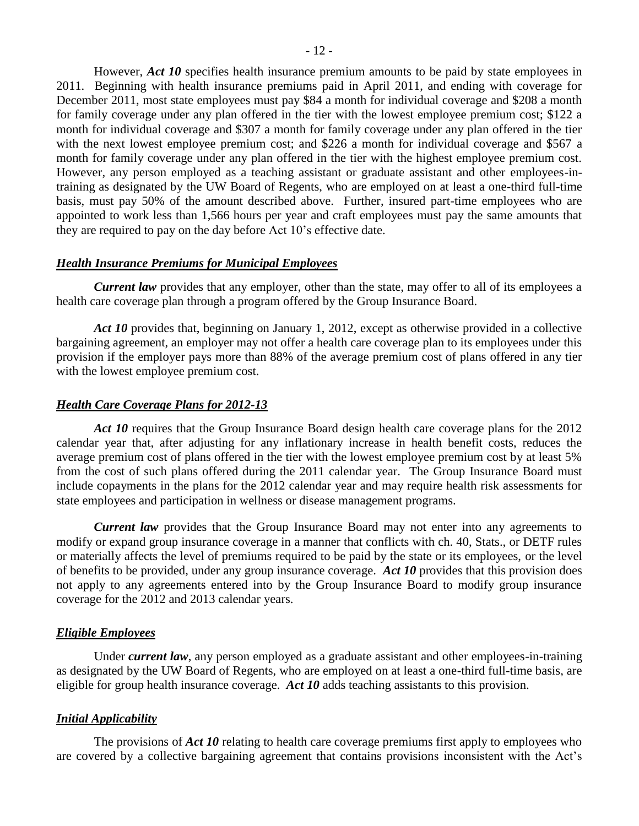However, *Act 10* specifies health insurance premium amounts to be paid by state employees in 2011. Beginning with health insurance premiums paid in April 2011, and ending with coverage for December 2011, most state employees must pay \$84 a month for individual coverage and \$208 a month for family coverage under any plan offered in the tier with the lowest employee premium cost; \$122 a month for individual coverage and \$307 a month for family coverage under any plan offered in the tier with the next lowest employee premium cost; and \$226 a month for individual coverage and \$567 a month for family coverage under any plan offered in the tier with the highest employee premium cost. However, any person employed as a teaching assistant or graduate assistant and other employees-intraining as designated by the UW Board of Regents, who are employed on at least a one-third full-time basis, must pay 50% of the amount described above. Further, insured part-time employees who are appointed to work less than 1,566 hours per year and craft employees must pay the same amounts that they are required to pay on the day before Act 10's effective date.

#### *Health Insurance Premiums for Municipal Employees*

*Current law* provides that any employer, other than the state, may offer to all of its employees a health care coverage plan through a program offered by the Group Insurance Board.

*Act 10* provides that, beginning on January 1, 2012, except as otherwise provided in a collective bargaining agreement, an employer may not offer a health care coverage plan to its employees under this provision if the employer pays more than 88% of the average premium cost of plans offered in any tier with the lowest employee premium cost.

#### *Health Care Coverage Plans for 2012-13*

Act 10 requires that the Group Insurance Board design health care coverage plans for the 2012 calendar year that, after adjusting for any inflationary increase in health benefit costs, reduces the average premium cost of plans offered in the tier with the lowest employee premium cost by at least 5% from the cost of such plans offered during the 2011 calendar year. The Group Insurance Board must include copayments in the plans for the 2012 calendar year and may require health risk assessments for state employees and participation in wellness or disease management programs.

*Current law* provides that the Group Insurance Board may not enter into any agreements to modify or expand group insurance coverage in a manner that conflicts with ch. 40, Stats., or DETF rules or materially affects the level of premiums required to be paid by the state or its employees, or the level of benefits to be provided, under any group insurance coverage. *Act 10* provides that this provision does not apply to any agreements entered into by the Group Insurance Board to modify group insurance coverage for the 2012 and 2013 calendar years.

#### *Eligible Employees*

Under *current law*, any person employed as a graduate assistant and other employees-in-training as designated by the UW Board of Regents, who are employed on at least a one-third full-time basis, are eligible for group health insurance coverage. *Act 10* adds teaching assistants to this provision.

#### *Initial Applicability*

The provisions of *Act 10* relating to health care coverage premiums first apply to employees who are covered by a collective bargaining agreement that contains provisions inconsistent with the Act's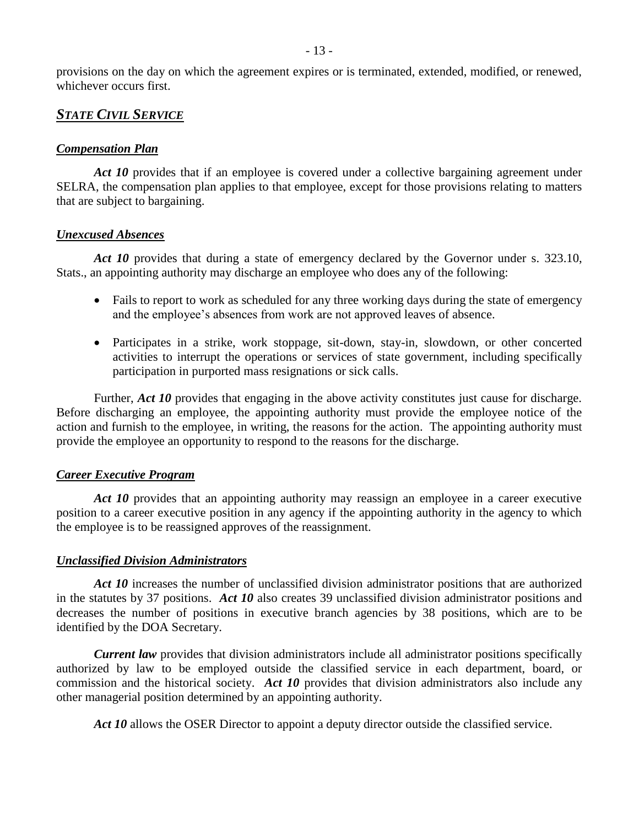provisions on the day on which the agreement expires or is terminated, extended, modified, or renewed, whichever occurs first.

# *STATE CIVIL SERVICE*

# *Compensation Plan*

Act 10 provides that if an employee is covered under a collective bargaining agreement under SELRA, the compensation plan applies to that employee, except for those provisions relating to matters that are subject to bargaining.

#### *Unexcused Absences*

Act 10 provides that during a state of emergency declared by the Governor under s. 323.10, Stats., an appointing authority may discharge an employee who does any of the following:

- Fails to report to work as scheduled for any three working days during the state of emergency and the employee's absences from work are not approved leaves of absence.
- Participates in a strike, work stoppage, sit-down, stay-in, slowdown, or other concerted activities to interrupt the operations or services of state government, including specifically participation in purported mass resignations or sick calls.

Further, *Act 10* provides that engaging in the above activity constitutes just cause for discharge. Before discharging an employee, the appointing authority must provide the employee notice of the action and furnish to the employee, in writing, the reasons for the action. The appointing authority must provide the employee an opportunity to respond to the reasons for the discharge.

#### *Career Executive Program*

Act 10 provides that an appointing authority may reassign an employee in a career executive position to a career executive position in any agency if the appointing authority in the agency to which the employee is to be reassigned approves of the reassignment.

#### *Unclassified Division Administrators*

Act 10 increases the number of unclassified division administrator positions that are authorized in the statutes by 37 positions. *Act 10* also creates 39 unclassified division administrator positions and decreases the number of positions in executive branch agencies by 38 positions, which are to be identified by the DOA Secretary.

*Current law* provides that division administrators include all administrator positions specifically authorized by law to be employed outside the classified service in each department, board, or commission and the historical society. *Act 10* provides that division administrators also include any other managerial position determined by an appointing authority.

Act 10 allows the OSER Director to appoint a deputy director outside the classified service.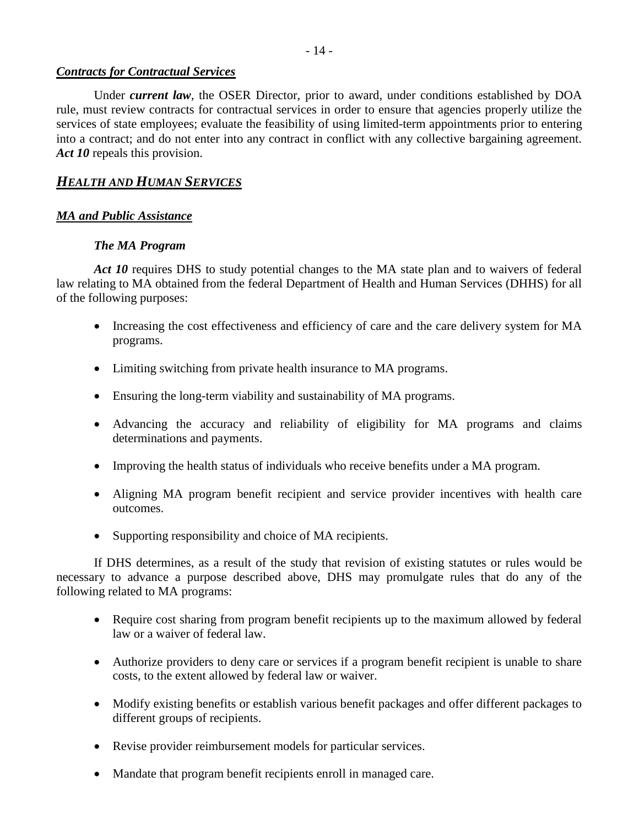- 14 -

# *Contracts for Contractual Services*

Under *current law*, the OSER Director, prior to award, under conditions established by DOA rule, must review contracts for contractual services in order to ensure that agencies properly utilize the services of state employees; evaluate the feasibility of using limited-term appointments prior to entering into a contract; and do not enter into any contract in conflict with any collective bargaining agreement. Act 10 repeals this provision.

# *HEALTH AND HUMAN SERVICES*

# *MA and Public Assistance*

# *The MA Program*

Act 10 requires DHS to study potential changes to the MA state plan and to waivers of federal law relating to MA obtained from the federal Department of Health and Human Services (DHHS) for all of the following purposes:

- Increasing the cost effectiveness and efficiency of care and the care delivery system for MA programs.
- Limiting switching from private health insurance to MA programs.
- Ensuring the long-term viability and sustainability of MA programs.
- Advancing the accuracy and reliability of eligibility for MA programs and claims determinations and payments.
- Improving the health status of individuals who receive benefits under a MA program.
- Aligning MA program benefit recipient and service provider incentives with health care outcomes.
- Supporting responsibility and choice of MA recipients.

If DHS determines, as a result of the study that revision of existing statutes or rules would be necessary to advance a purpose described above, DHS may promulgate rules that do any of the following related to MA programs:

- Require cost sharing from program benefit recipients up to the maximum allowed by federal law or a waiver of federal law.
- Authorize providers to deny care or services if a program benefit recipient is unable to share costs, to the extent allowed by federal law or waiver.
- Modify existing benefits or establish various benefit packages and offer different packages to different groups of recipients.
- Revise provider reimbursement models for particular services.
- Mandate that program benefit recipients enroll in managed care.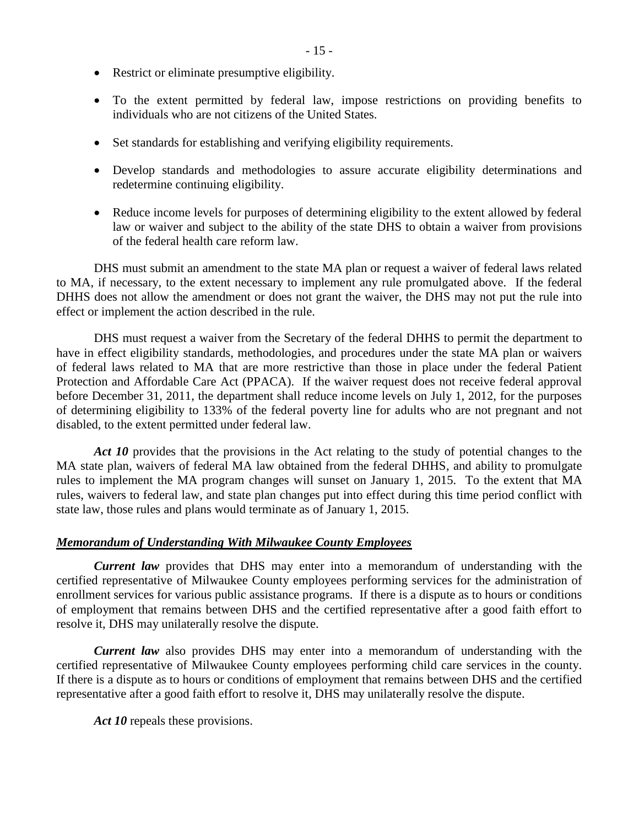- Restrict or eliminate presumptive eligibility.
- To the extent permitted by federal law, impose restrictions on providing benefits to individuals who are not citizens of the United States.
- Set standards for establishing and verifying eligibility requirements.
- Develop standards and methodologies to assure accurate eligibility determinations and redetermine continuing eligibility.
- Reduce income levels for purposes of determining eligibility to the extent allowed by federal law or waiver and subject to the ability of the state DHS to obtain a waiver from provisions of the federal health care reform law.

DHS must submit an amendment to the state MA plan or request a waiver of federal laws related to MA, if necessary, to the extent necessary to implement any rule promulgated above. If the federal DHHS does not allow the amendment or does not grant the waiver, the DHS may not put the rule into effect or implement the action described in the rule.

DHS must request a waiver from the Secretary of the federal DHHS to permit the department to have in effect eligibility standards, methodologies, and procedures under the state MA plan or waivers of federal laws related to MA that are more restrictive than those in place under the federal Patient Protection and Affordable Care Act (PPACA). If the waiver request does not receive federal approval before December 31, 2011, the department shall reduce income levels on July 1, 2012, for the purposes of determining eligibility to 133% of the federal poverty line for adults who are not pregnant and not disabled, to the extent permitted under federal law.

Act 10 provides that the provisions in the Act relating to the study of potential changes to the MA state plan, waivers of federal MA law obtained from the federal DHHS, and ability to promulgate rules to implement the MA program changes will sunset on January 1, 2015. To the extent that MA rules, waivers to federal law, and state plan changes put into effect during this time period conflict with state law, those rules and plans would terminate as of January 1, 2015.

# *Memorandum of Understanding With Milwaukee County Employees*

*Current law* provides that DHS may enter into a memorandum of understanding with the certified representative of Milwaukee County employees performing services for the administration of enrollment services for various public assistance programs. If there is a dispute as to hours or conditions of employment that remains between DHS and the certified representative after a good faith effort to resolve it, DHS may unilaterally resolve the dispute.

*Current law* also provides DHS may enter into a memorandum of understanding with the certified representative of Milwaukee County employees performing child care services in the county. If there is a dispute as to hours or conditions of employment that remains between DHS and the certified representative after a good faith effort to resolve it, DHS may unilaterally resolve the dispute.

Act 10 repeals these provisions.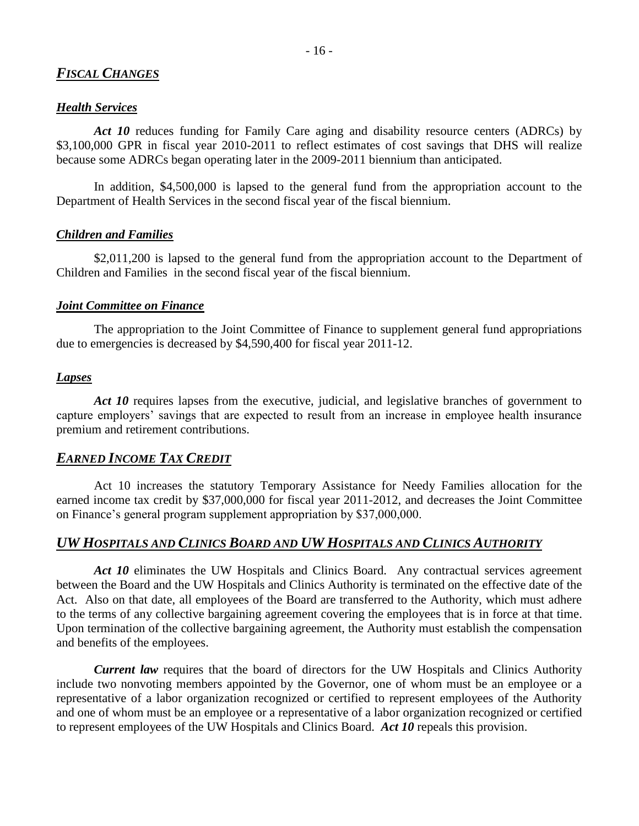# *FISCAL CHANGES*

#### *Health Services*

*Act 10* reduces funding for Family Care aging and disability resource centers (ADRCs) by \$3,100,000 GPR in fiscal year 2010-2011 to reflect estimates of cost savings that DHS will realize because some ADRCs began operating later in the 2009-2011 biennium than anticipated.

In addition, \$4,500,000 is lapsed to the general fund from the appropriation account to the Department of Health Services in the second fiscal year of the fiscal biennium.

#### *Children and Families*

\$2,011,200 is lapsed to the general fund from the appropriation account to the Department of Children and Families in the second fiscal year of the fiscal biennium.

#### *Joint Committee on Finance*

The appropriation to the Joint Committee of Finance to supplement general fund appropriations due to emergencies is decreased by \$4,590,400 for fiscal year 2011-12.

#### *Lapses*

Act 10 requires lapses from the executive, judicial, and legislative branches of government to capture employers' savings that are expected to result from an increase in employee health insurance premium and retirement contributions.

# *EARNED INCOME TAX CREDIT*

Act 10 increases the statutory Temporary Assistance for Needy Families allocation for the earned income tax credit by \$37,000,000 for fiscal year 2011-2012, and decreases the Joint Committee on Finance's general program supplement appropriation by \$37,000,000.

## *UW HOSPITALS AND CLINICS BOARD AND UW HOSPITALS AND CLINICS AUTHORITY*

Act 10 eliminates the UW Hospitals and Clinics Board. Any contractual services agreement between the Board and the UW Hospitals and Clinics Authority is terminated on the effective date of the Act. Also on that date, all employees of the Board are transferred to the Authority, which must adhere to the terms of any collective bargaining agreement covering the employees that is in force at that time. Upon termination of the collective bargaining agreement, the Authority must establish the compensation and benefits of the employees.

*Current law* requires that the board of directors for the UW Hospitals and Clinics Authority include two nonvoting members appointed by the Governor, one of whom must be an employee or a representative of a labor organization recognized or certified to represent employees of the Authority and one of whom must be an employee or a representative of a labor organization recognized or certified to represent employees of the UW Hospitals and Clinics Board. *Act 10* repeals this provision.